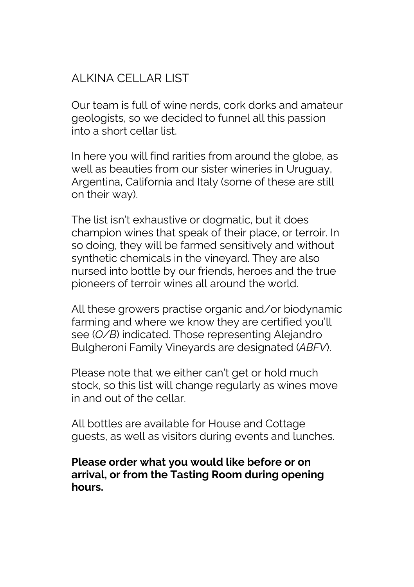# ALKINA CELLAR LIST

Our team is full of wine nerds, cork dorks and amateur geologists, so we decided to funnel all this passion into a short cellar list.

In here you will find rarities from around the globe, as well as beauties from our sister wineries in Uruguay, Argentina, California and Italy (some of these are still on their way).

The list isn't exhaustive or dogmatic, but it does champion wines that speak of their place, or terroir. In so doing, they will be farmed sensitively and without synthetic chemicals in the vineyard. They are also nursed into bottle by our friends, heroes and the true pioneers of terroir wines all around the world.

All these growers practise organic and/or biodynamic farming and where we know they are certified you'll see (*O/B*) indicated. Those representing Alejandro Bulgheroni Family Vineyards are designated (*ABFV*).

Please note that we either can't get or hold much stock, so this list will change regularly as wines move in and out of the cellar.

All bottles are available for House and Cottage guests, as well as visitors during events and lunches.

#### **Please order what you would like before or on arrival, or from the Tasting Room during opening hours.**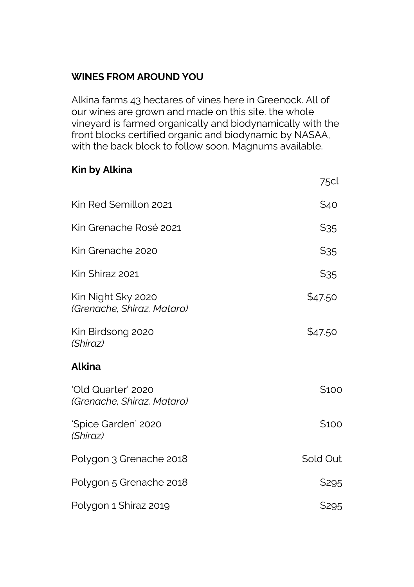#### **WINES FROM AROUND YOU**

Alkina farms 43 hectares of vines here in Greenock. All of our wines are grown and made on this site. the whole vineyard is farmed organically and biodynamically with the front blocks certified organic and biodynamic by NASAA, with the back block to follow soon. Magnums available.

75cl

### **Kin by Alkina**

| Kin Red Semillon 2021                            | \$40     |
|--------------------------------------------------|----------|
| Kin Grenache Rosé 2021                           | \$35     |
| Kin Grenache 2020                                | \$35     |
| Kin Shiraz 2021                                  | \$35     |
| Kin Night Sky 2020<br>(Grenache, Shiraz, Mataro) | \$47.50  |
| Kin Birdsong 2020<br>(Shiraz)                    | \$47.50  |
| Alkina                                           |          |
| 'Old Quarter' 2020<br>(Grenache, Shiraz, Mataro) | \$100    |
| 'Spice Garden' 2020<br>(Shiraz)                  | \$100    |
| Polygon 3 Grenache 2018                          | Sold Out |
| Polygon 5 Grenache 2018                          | \$295    |
| Polygon 1 Shiraz 2019                            | \$295    |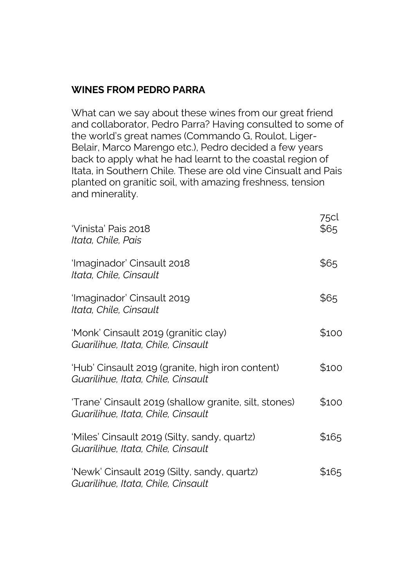#### **WINES FROM PEDRO PARRA**

What can we say about these wines from our great friend and collaborator, Pedro Parra? Having consulted to some of the world's great names (Commando G, Roulot, Liger-Belair, Marco Marengo etc.), Pedro decided a few years back to apply what he had learnt to the coastal region of Itata, in Southern Chile. These are old vine Cinsualt and Pais planted on granitic soil, with amazing freshness, tension and minerality.

| ʻVinista' Pais 2018<br>Itata, Chile, Pais                                                   | 75cl<br>\$65 |
|---------------------------------------------------------------------------------------------|--------------|
| 'Imaginador' Cinsault 2018<br>Itata, Chile, Cinsault                                        | \$65         |
| 'Imaginador' Cinsault 2019<br>Itata, Chile, Cinsault                                        | \$65         |
| 'Monk' Cinsault 2019 (granitic clay)<br>Guarilihue, Itata, Chile, Cinsault                  | \$100        |
| 'Hub' Cinsault 2019 (granite, high iron content)<br>Guarilihue, Itata, Chile, Cinsault      | \$100        |
| 'Trane' Cinsault 2019 (shallow granite, silt, stones)<br>Guarilihue, Itata, Chile, Cinsault | \$100        |
| 'Miles' Cinsault 2019 (Silty, sandy, quartz)<br>Guarilihue, Itata, Chile, Cinsault          | \$165        |
| 'Newk' Cinsault 2019 (Silty, sandy, quartz)<br>Guarilihue, Itata, Chile, Cinsault           | \$165        |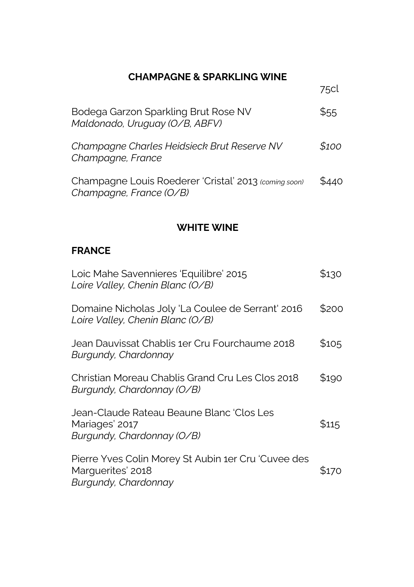### **CHAMPAGNE & SPARKLING WINE**

|                                                                                  | 75cl  |
|----------------------------------------------------------------------------------|-------|
| Bodega Garzon Sparkling Brut Rose NV<br>Maldonado, Uruguay (O/B, ABFV)           | \$55  |
| Champagne Charles Heidsieck Brut Reserve NV<br>Champagne, France                 | \$100 |
| Champagne Louis Roederer 'Cristal' 2013 (coming soon)<br>Champagne, France (O/B) | \$440 |

#### **WHITE WINE**

#### **FRANCE**

| Loic Mahe Savennieres 'Equilibre' 2015<br>Loire Valley, Chenin Blanc (O/B)                       | \$130 |
|--------------------------------------------------------------------------------------------------|-------|
| Domaine Nicholas Joly 'La Coulee de Serrant' 2016<br>Loire Valley, Chenin Blanc (O/B)            | \$200 |
| Jean Dauvissat Chablis 1er Cru Fourchaume 2018<br>Burgundy, Chardonnay                           | \$105 |
| Christian Moreau Chablis Grand Cru Les Clos 2018<br>Burgundy, Chardonnay (O/B)                   | \$190 |
| Jean-Claude Rateau Beaune Blanc 'Clos Les<br>Mariages' 2017<br>Burgundy, Chardonnay (O/B)        | \$115 |
| Pierre Yves Colin Morey St Aubin 1er Cru 'Cuvee des<br>Marguerites' 2018<br>Burgundy, Chardonnay | S170  |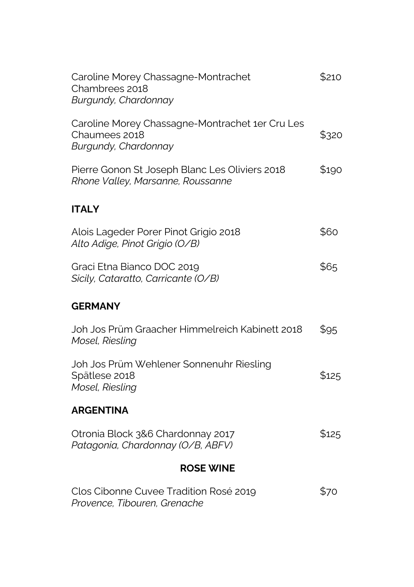| Caroline Morey Chassagne-Montrachet<br>Chambrees 2018<br>Burgundy, Chardonnay            | \$210 |
|------------------------------------------------------------------------------------------|-------|
| Caroline Morey Chassagne-Montrachet 1er Cru Les<br>Chaumees 2018<br>Burgundy, Chardonnay | \$320 |
| Pierre Gonon St Joseph Blanc Les Oliviers 2018<br>Rhone Valley, Marsanne, Roussanne      | \$190 |
| <b>ITALY</b>                                                                             |       |
| Alois Lageder Porer Pinot Grigio 2018<br>Alto Adige, Pinot Grigio (O/B)                  | \$60  |
| Graci Etna Bianco DOC 2019<br>Sicily, Cataratto, Carricante (O/B)                        | \$65  |
| <b>GERMANY</b>                                                                           |       |
| Joh Jos Prüm Graacher Himmelreich Kabinett 2018<br>Mosel, Riesling                       | \$95  |
| Joh Jos Prüm Wehlener Sonnenuhr Riesling<br>Spätlese 2018<br>Mosel, Riesling             | \$125 |
| <b>ARGENTINA</b>                                                                         |       |
| Otronia Block 3&6 Chardonnay 2017<br>Patagonia, Chardonnay (O/B, ABFV)                   | \$125 |
| <b>ROSE WINE</b>                                                                         |       |
| Clos Cibonne Cuvee Tradition Rosé 2019<br>Provence, Tibouren, Grenache                   | \$70  |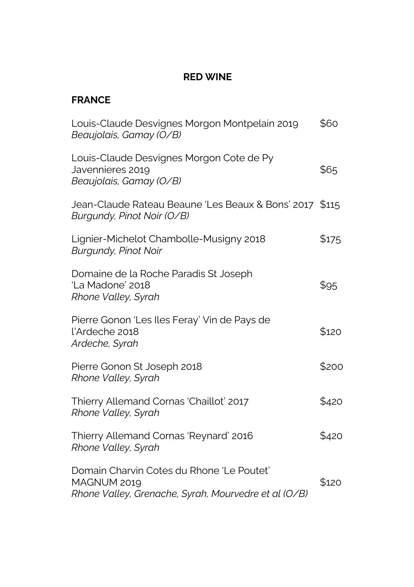### **RED WINE**

#### **FRANCE**

| Louis-Claude Desvignes Morgon Montpelain 2019<br>Beaujolais, Gamay (O/B)                                         | \$60  |
|------------------------------------------------------------------------------------------------------------------|-------|
| Louis-Claude Desvignes Morgon Cote de Py<br>Javennieres 2019<br>Beaujolais, Gamay (O/B)                          | \$65  |
| Jean-Claude Rateau Beaune 'Les Beaux & Bons' 2017 \$115<br>Burgundy, Pinot Noir (O/B)                            |       |
| Lignier-Michelot Chambolle-Musigny 2018<br><b>Burgundy, Pinot Noir</b>                                           | \$175 |
| Domaine de la Roche Paradis St Joseph<br>'La Madone' 2018<br>Rhone Valley, Syrah                                 | \$95  |
| Pierre Gonon 'Les Iles Feray' Vin de Pays de<br>l'Ardeche 2018<br>Ardeche, Syrah                                 | \$120 |
| Pierre Gonon St Joseph 2018<br>Rhone Valley, Syrah                                                               | \$200 |
| Thierry Allemand Cornas 'Chaillot' 2017<br>Rhone Valley, Syrah                                                   | \$420 |
| Thierry Allemand Cornas 'Reynard' 2016<br>Rhone Valley, Syrah                                                    | \$420 |
| Domain Charvin Cotes du Rhone 'Le Poutet'<br>MAGNUM 2019<br>Rhone Valley, Grenache, Syrah, Mourvedre et al (O/B) | \$120 |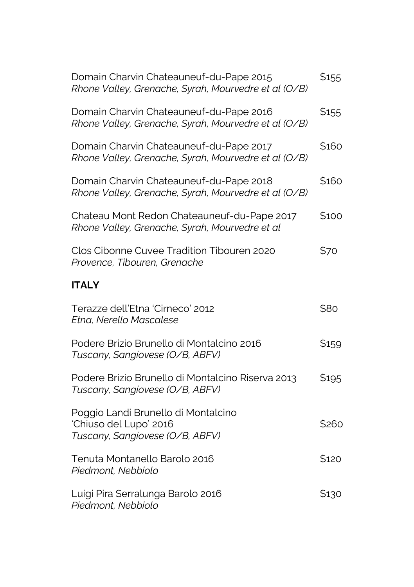| Domain Charvin Chateauneuf-du-Pape 2015<br>Rhone Valley, Grenache, Syrah, Mourvedre et al (O/B)  | \$155 |
|--------------------------------------------------------------------------------------------------|-------|
| Domain Charvin Chateauneuf-du-Pape 2016<br>Rhone Valley, Grenache, Syrah, Mourvedre et al (O/B)  | \$155 |
| Domain Charvin Chateauneuf-du-Pape 2017<br>Rhone Valley, Grenache, Syrah, Mourvedre et al (O/B)  | \$160 |
| Domain Charvin Chateauneuf-du-Pape 2018<br>Rhone Valley, Grenache, Syrah, Mourvedre et al (O/B)  | \$160 |
| Chateau Mont Redon Chateauneuf-du-Pape 2017<br>Rhone Valley, Grenache, Syrah, Mourvedre et al    | \$100 |
| Clos Cibonne Cuvee Tradition Tibouren 2020<br>Provence, Tibouren, Grenache                       | \$70  |
| <b>ITALY</b>                                                                                     |       |
| Terazze dell'Etna 'Cirneco' 2012<br>Etna, Nerello Mascalese                                      | \$80  |
| Podere Brizio Brunello di Montalcino 2016<br>Tuscany, Sangiovese (O/B, ABFV)                     | \$159 |
| Podere Brizio Brunello di Montalcino Riserva 2013<br>Tuscany, Sangiovese (O/B, ABFV)             | \$195 |
| Poggio Landi Brunello di Montalcino<br>'Chiuso del Lupo' 2016<br>Tuscany, Sangiovese (O/B, ABFV) | \$260 |
| Tenuta Montanello Barolo 2016<br>Piedmont, Nebbiolo                                              | \$120 |
| Luigi Pira Serralunga Barolo 2016<br>Piedmont, Nebbiolo                                          | \$130 |